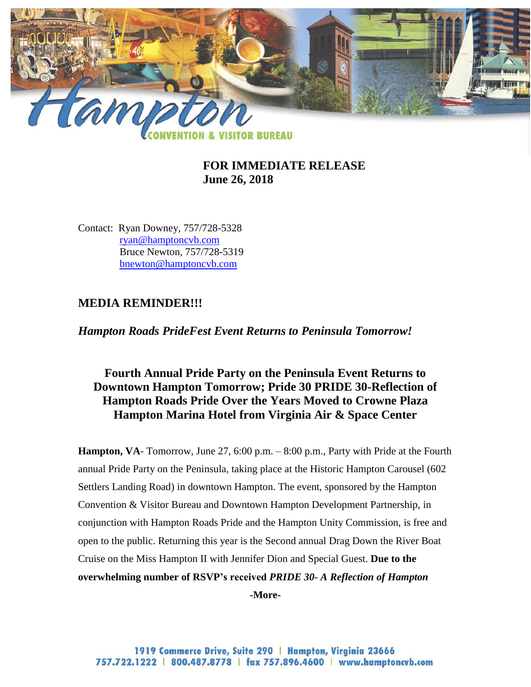

### **FOR IMMEDIATE RELEASE June 26, 2018**

Contact: Ryan Downey, 757/728-5328 [ryan@hamptoncvb.com](mailto:ryan@hamptoncvb.com) Bruce Newton, 757/728-5319 bnewton@hamptoncvb.com

### **MEDIA REMINDER!!!**

*Hampton Roads PrideFest Event Returns to Peninsula Tomorrow!*

# **Fourth Annual Pride Party on the Peninsula Event Returns to Downtown Hampton Tomorrow; Pride 30 PRIDE 30-Reflection of Hampton Roads Pride Over the Years Moved to Crowne Plaza Hampton Marina Hotel from Virginia Air & Space Center**

**Hampton, VA**- Tomorrow, June 27, 6:00 p.m. – 8:00 p.m., Party with Pride at the Fourth annual Pride Party on the Peninsula, taking place at the Historic Hampton Carousel (602 Settlers Landing Road) in downtown Hampton. The event, sponsored by the Hampton Convention & Visitor Bureau and Downtown Hampton Development Partnership, in conjunction with Hampton Roads Pride and the Hampton Unity Commission, is free and open to the public. Returning this year is the Second annual Drag Down the River Boat Cruise on the Miss Hampton II with Jennifer Dion and Special Guest. **Due to the overwhelming number of RSVP's received** *PRIDE 30- A Reflection of Hampton*  **-More-**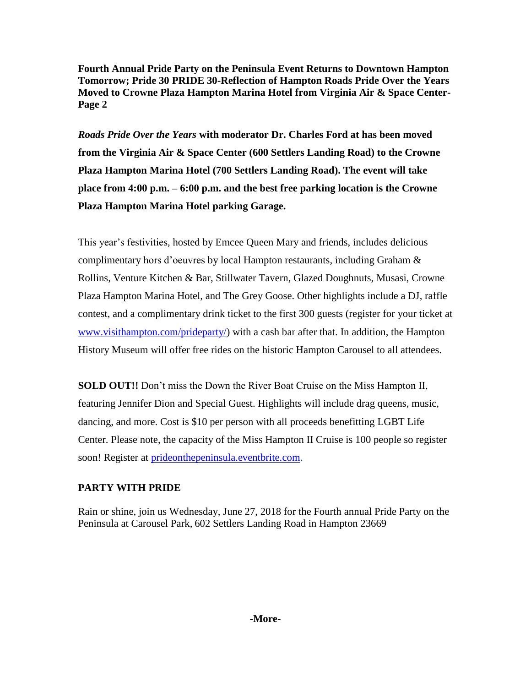**Fourth Annual Pride Party on the Peninsula Event Returns to Downtown Hampton Tomorrow; Pride 30 PRIDE 30-Reflection of Hampton Roads Pride Over the Years Moved to Crowne Plaza Hampton Marina Hotel from Virginia Air & Space Center-Page 2**

*Roads Pride Over the Years* **with moderator Dr. Charles Ford at has been moved from the Virginia Air & Space Center (600 Settlers Landing Road) to the Crowne Plaza Hampton Marina Hotel (700 Settlers Landing Road). The event will take place from 4:00 p.m. – 6:00 p.m. and the best free parking location is the Crowne Plaza Hampton Marina Hotel parking Garage.**

This year's festivities, hosted by Emcee Queen Mary and friends, includes delicious complimentary hors d'oeuvres by local Hampton restaurants, including Graham & Rollins, Venture Kitchen & Bar, Stillwater Tavern, Glazed Doughnuts, Musasi, Crowne Plaza Hampton Marina Hotel, and The Grey Goose. Other highlights include a DJ, raffle contest, and a complimentary drink ticket to the first 300 guests (register for your ticket at [www.visithampton.com/prideparty/\)](http://www.visithampton.com/prideparty/) with a cash bar after that. In addition, the Hampton History Museum will offer free rides on the historic Hampton Carousel to all attendees.

**SOLD OUT!!** Don't miss the Down the River Boat Cruise on the Miss Hampton II, featuring Jennifer Dion and Special Guest. Highlights will include drag queens, music, dancing, and more. Cost is \$10 per person with all proceeds benefitting LGBT Life Center. Please note, the capacity of the Miss Hampton II Cruise is 100 people so register soon! Register at [prideonthepeninsula.eventbrite.com.](prideonthepeninsula.eventbrite.com)

## **PARTY WITH PRIDE**

Rain or shine, join us Wednesday, June 27, 2018 for the Fourth annual Pride Party on the Peninsula at Carousel Park, 602 Settlers Landing Road in Hampton 23669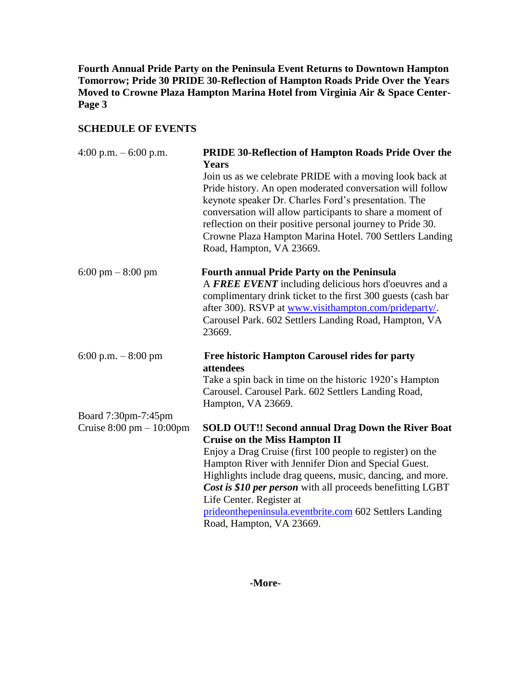**Fourth Annual Pride Party on the Peninsula Event Returns to Downtown Hampton Tomorrow; Pride 30 PRIDE 30-Reflection of Hampton Roads Pride Over the Years Moved to Crowne Plaza Hampton Marina Hotel from Virginia Air & Space Center-Page 3**

#### **SCHEDULE OF EVENTS**

| 4:00 p.m. $-6:00$ p.m.                     | <b>PRIDE 30-Reflection of Hampton Roads Pride Over the</b><br><b>Years</b> |
|--------------------------------------------|----------------------------------------------------------------------------|
|                                            | Join us as we celebrate PRIDE with a moving look back at                   |
|                                            | Pride history. An open moderated conversation will follow                  |
|                                            | keynote speaker Dr. Charles Ford's presentation. The                       |
|                                            | conversation will allow participants to share a moment of                  |
|                                            | reflection on their positive personal journey to Pride 30.                 |
|                                            | Crowne Plaza Hampton Marina Hotel. 700 Settlers Landing                    |
|                                            | Road, Hampton, VA 23669.                                                   |
| $6:00 \text{ pm} - 8:00 \text{ pm}$        | <b>Fourth annual Pride Party on the Peninsula</b>                          |
|                                            | A FREE EVENT including delicious hors d'oeuvres and a                      |
|                                            | complimentary drink ticket to the first 300 guests (cash bar               |
|                                            | after 300). RSVP at www.visithampton.com/prideparty/.                      |
|                                            | Carousel Park. 602 Settlers Landing Road, Hampton, VA                      |
|                                            | 23669.                                                                     |
| 6:00 p.m. $-8:00$ pm                       | <b>Free historic Hampton Carousel rides for party</b><br>attendees         |
|                                            | Take a spin back in time on the historic 1920's Hampton                    |
|                                            | Carousel. Carousel Park. 602 Settlers Landing Road,                        |
|                                            | Hampton, VA 23669.                                                         |
| Board 7:30pm-7:45pm                        |                                                                            |
| Cruise $8:00 \text{ pm} - 10:00 \text{pm}$ | <b>SOLD OUT!! Second annual Drag Down the River Boat</b>                   |
|                                            | <b>Cruise on the Miss Hampton II</b>                                       |
|                                            | Enjoy a Drag Cruise (first 100 people to register) on the                  |
|                                            | Hampton River with Jennifer Dion and Special Guest.                        |
|                                            | Highlights include drag queens, music, dancing, and more.                  |
|                                            | Cost is \$10 per person with all proceeds benefitting LGBT                 |
|                                            | Life Center. Register at                                                   |
|                                            | prideonthepeninsula.eventbrite.com 602 Settlers Landing                    |
|                                            | Road, Hampton, VA 23669.                                                   |